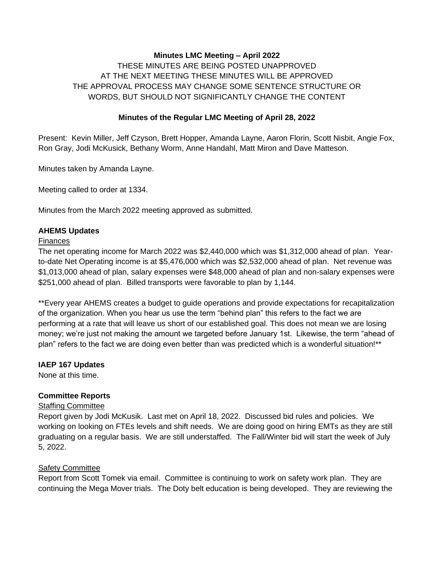### **Minutes LMC Meeting – April 2022**

THESE MINUTES ARE BEING POSTED UNAPPROVED AT THE NEXT MEETING THESE MINUTES WILL BE APPROVED THE APPROVAL PROCESS MAY CHANGE SOME SENTENCE STRUCTURE OR WORDS, BUT SHOULD NOT SIGNIFICANTLY CHANGE THE CONTENT

### **Minutes of the Regular LMC Meeting of April 28, 2022**

Present: Kevin Miller, Jeff Czyson, Brett Hopper, Amanda Layne, Aaron Florin, Scott Nisbit, Angie Fox, Ron Gray, Jodi McKusick, Bethany Worm, Anne Handahl, Matt Miron and Dave Matteson.

Minutes taken by Amanda Layne.

Meeting called to order at 1334.

Minutes from the March 2022 meeting approved as submitted.

#### **AHEMS Updates**

#### **Finances**

The net operating income for March 2022 was \$2,440,000 which was \$1,312,000 ahead of plan. Yearto-date Net Operating income is at \$5,476,000 which was \$2,532,000 ahead of plan. Net revenue was \$1,013,000 ahead of plan, salary expenses were \$48,000 ahead of plan and non-salary expenses were \$251,000 ahead of plan. Billed transports were favorable to plan by 1,144.

\*\*Every year AHEMS creates a budget to guide operations and provide expectations for recapitalization of the organization. When you hear us use the term "behind plan" this refers to the fact we are performing at a rate that will leave us short of our established goal. This does not mean we are losing money; we're just not making the amount we targeted before January 1st. Likewise, the term "ahead of plan" refers to the fact we are doing even better than was predicted which is a wonderful situation!\*\*

### **IAEP 167 Updates**

None at this time.

### **Committee Reports**

### Staffing Committee

Report given by Jodi McKusik. Last met on April 18, 2022. Discussed bid rules and policies. We working on looking on FTEs levels and shift needs. We are doing good on hiring EMTs as they are still graduating on a regular basis. We are still understaffed. The Fall/Winter bid will start the week of July 5, 2022.

#### Safety Committee

Report from Scott Tomek via email. Committee is continuing to work on safety work plan. They are continuing the Mega Mover trials. The Doty belt education is being developed. They are reviewing the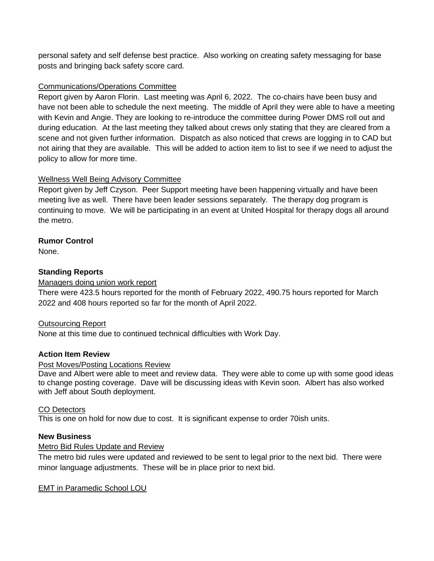personal safety and self defense best practice. Also working on creating safety messaging for base posts and bringing back safety score card.

### Communications/Operations Committee

Report given by Aaron Florin. Last meeting was April 6, 2022. The co-chairs have been busy and have not been able to schedule the next meeting. The middle of April they were able to have a meeting with Kevin and Angie. They are looking to re-introduce the committee during Power DMS roll out and during education. At the last meeting they talked about crews only stating that they are cleared from a scene and not given further information. Dispatch as also noticed that crews are logging in to CAD but not airing that they are available. This will be added to action item to list to see if we need to adjust the policy to allow for more time.

# Wellness Well Being Advisory Committee

Report given by Jeff Czyson. Peer Support meeting have been happening virtually and have been meeting live as well. There have been leader sessions separately. The therapy dog program is continuing to move. We will be participating in an event at United Hospital for therapy dogs all around the metro.

# **Rumor Control**

None.

# **Standing Reports**

### Managers doing union work report

There were 423.5 hours reported for the month of February 2022, 490.75 hours reported for March 2022 and 408 hours reported so far for the month of April 2022.

### Outsourcing Report

None at this time due to continued technical difficulties with Work Day.

### **Action Item Review**

### Post Moves/Posting Locations Review

Dave and Albert were able to meet and review data. They were able to come up with some good ideas to change posting coverage. Dave will be discussing ideas with Kevin soon. Albert has also worked with Jeff about South deployment.

### CO Detectors

This is one on hold for now due to cost. It is significant expense to order 70ish units.

### **New Business**

### Metro Bid Rules Update and Review

The metro bid rules were updated and reviewed to be sent to legal prior to the next bid. There were minor language adjustments. These will be in place prior to next bid.

### EMT in Paramedic School LOU